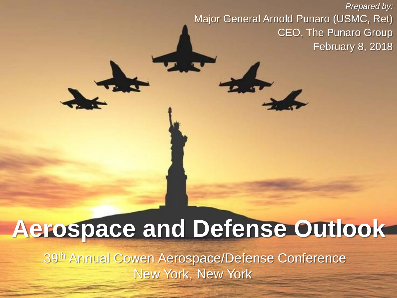*Prepared by:* Major General Arnold Punaro (USMC, Ret) CEO, The Punaro Group February 8, 2018

# **Aerospace and Defense Outlook**

39th Annual Cowen Aerospace/Defense Conference New York, New York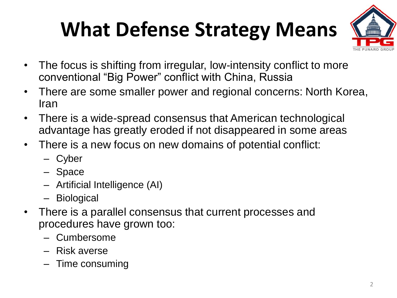# **What Defense Strategy Means**



- The focus is shifting from irregular, low-intensity conflict to more conventional "Big Power" conflict with China, Russia
- There are some smaller power and regional concerns: North Korea, Iran
- There is a wide-spread consensus that American technological advantage has greatly eroded if not disappeared in some areas
- There is a new focus on new domains of potential conflict:
	- Cyber
	- Space
	- Artificial Intelligence (AI)
	- Biological
- There is a parallel consensus that current processes and procedures have grown too:
	- Cumbersome
	- Risk averse
	- Time consuming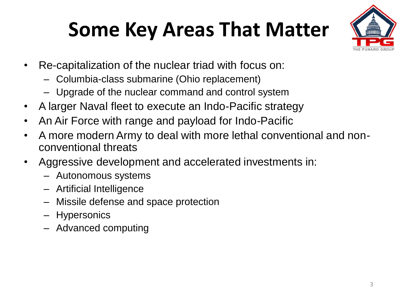## **Some Key Areas That Matter**



- Re-capitalization of the nuclear triad with focus on:
	- Columbia-class submarine (Ohio replacement)
	- Upgrade of the nuclear command and control system
- A larger Naval fleet to execute an Indo-Pacific strategy
- An Air Force with range and payload for Indo-Pacific
- A more modern Army to deal with more lethal conventional and nonconventional threats
- Aggressive development and accelerated investments in:
	- Autonomous systems
	- Artificial Intelligence
	- Missile defense and space protection
	- Hypersonics
	- Advanced computing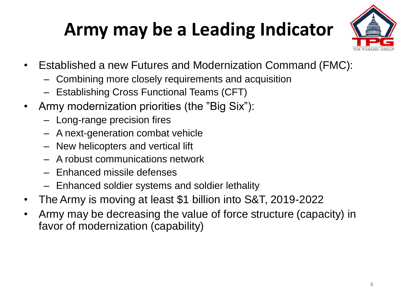#### **Army may be a Leading Indicator**



- Established a new Futures and Modernization Command (FMC):
	- Combining more closely requirements and acquisition
	- Establishing Cross Functional Teams (CFT)
- Army modernization priorities (the "Big Six"):
	- Long-range precision fires
	- A next-generation combat vehicle
	- New helicopters and vertical lift
	- A robust communications network
	- Enhanced missile defenses
	- Enhanced soldier systems and soldier lethality
- The Army is moving at least \$1 billion into S&T, 2019-2022
- Army may be decreasing the value of force structure (capacity) in favor of modernization (capability)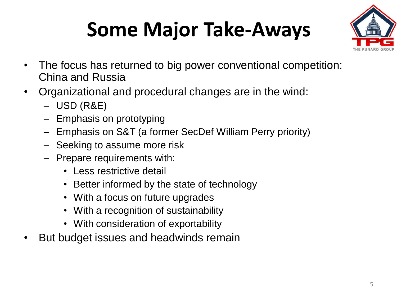# **Some Major Take-Aways**



- The focus has returned to big power conventional competition: China and Russia
- Organizational and procedural changes are in the wind:
	- USD (R&E)
	- Emphasis on prototyping
	- Emphasis on S&T (a former SecDef William Perry priority)
	- Seeking to assume more risk
	- Prepare requirements with:
		- Less restrictive detail
		- Better informed by the state of technology
		- With a focus on future upgrades
		- With a recognition of sustainability
		- With consideration of exportability
- But budget issues and headwinds remain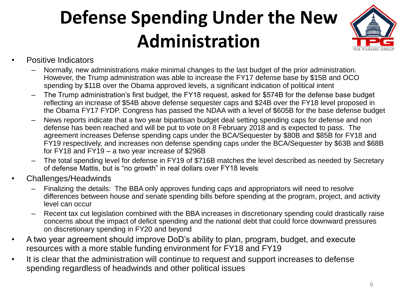### **Defense Spending Under the New Administration**



- Positive Indicators
	- Normally, new administrations make minimal changes to the last budget of the prior administration. However, the Trump administration was able to increase the FY17 defense base by \$15B and OCO spending by \$11B over the Obama approved levels, a significant indication of political intent
	- The Trump administration's first budget, the FY18 request, asked for \$574B for the defense base budget reflecting an increase of \$54B above defense sequester caps and \$24B over the FY18 level proposed in the Obama FY17 FYDP. Congress has passed the NDAA with a level of \$605B for the base defense budget
	- News reports indicate that a two year bipartisan budget deal setting spending caps for defense and non defense has been reached and will be put to vote on 8 February 2018 and is expected to pass. The agreement increases Defense spending caps under the BCA/Sequester by \$80B and \$85B for FY18 and FY19 respectively, and increases non defense spending caps under the BCA/Sequester by \$63B and \$68B for FY18 and FY19 – a two year increase of \$296B
	- The total spending level for defense in FY19 of \$716B matches the level described as needed by Secretary of defense Mattis, but is "no growth" in real dollars over FY18 levels
- Challenges/Headwinds
	- Finalizing the details: The BBA only approves funding caps and appropriators will need to resolve differences between house and senate spending bills before spending at the program, project, and activity level can occur
	- Recent tax cut legislation combined with the BBA increases in discretionary spending could drastically raise concerns about the impact of deficit spending and the national debt that could force downward pressures on discretionary spending in FY20 and beyond
- A two year agreement should improve DoD's ability to plan, program, budget, and execute resources with a more stable funding environment for FY18 and FY19
- It is clear that the administration will continue to request and support increases to defense spending regardless of headwinds and other political issues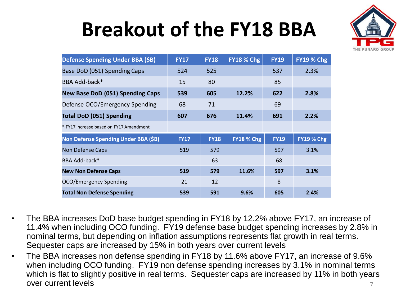## **Breakout of the FY18 BBA**



| Defense Spending Under BBA (\$B)        | <b>FY17</b> | <b>FY18</b> | <b>FY18 % Chg</b> | <b>FY19</b> | <b>FY19 % Chg</b> |
|-----------------------------------------|-------------|-------------|-------------------|-------------|-------------------|
| Base DoD (051) Spending Caps            | 524         | 525         |                   | 537         | 2.3%              |
| BBA Add-back*                           | 15          | 80          |                   | 85          |                   |
| <b>New Base DoD (051) Spending Caps</b> | 539         | 605         | 12.2%             | 622         | 2.8%              |
| Defense OCO/Emergency Spending          | 68          | 71          |                   | 69          |                   |
| <b>Total DoD (051) Spending</b>         | 607         | 676         | 11.4%             | 691         | 2.2%              |
| * FY17 increase based on FY17 Amendment |             |             |                   |             |                   |
| Non Defense Spending Under BBA (\$B)    | <b>FY17</b> | <b>FY18</b> | <b>FY18 % Chg</b> | <b>FY19</b> | <b>FY19 % Chg</b> |
| Non Defense Caps                        | 519         | 579         |                   | 597         | 3.1%              |
| BBA Add-back*                           |             | 63          |                   | 68          |                   |
| <b>New Non Defense Caps</b>             | 519         | 579         | 11.6%             | 597         | 3.1%              |
| OCO/Emergency Spending                  | 21          | 12          |                   | 8           |                   |
| <b>Total Non Defense Spending</b>       | 539         | 591         | 9.6%              | 605         | 2.4%              |

- The BBA increases DoD base budget spending in FY18 by 12.2% above FY17, an increase of 11.4% when including OCO funding. FY19 defense base budget spending increases by 2.8% in nominal terms, but depending on inflation assumptions represents flat growth in real terms. Sequester caps are increased by 15% in both years over current levels
- The BBA increases non defense spending in FY18 by 11.6% above FY17, an increase of 9.6% when including OCO funding. FY19 non defense spending increases by 3.1% in nominal terms which is flat to slightly positive in real terms. Sequester caps are increased by 11% in both years over current levels 7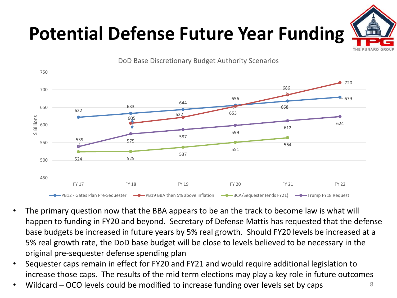### **Potential Defense Future Year Funding**





- The primary question now that the BBA appears to be an the track to become law is what will happen to funding in FY20 and beyond. Secretary of Defense Mattis has requested that the defense base budgets be increased in future years by 5% real growth. Should FY20 levels be increased at a 5% real growth rate, the DoD base budget will be close to levels believed to be necessary in the original pre-sequester defense spending plan
- Sequester caps remain in effect for FY20 and FY21 and would require additional legislation to increase those caps. The results of the mid term elections may play a key role in future outcomes
- Wildcard OCO levels could be modified to increase funding over levels set by caps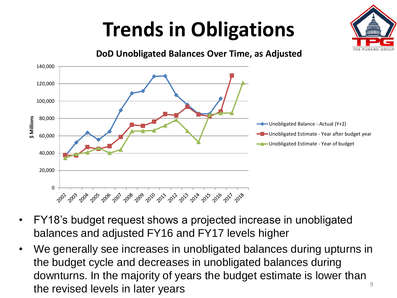## **Trends in Obligations**





**DoD Unobligated Balances Over Time, as Adjusted**

- FY18's budget request shows a projected increase in unobligated balances and adjusted FY16 and FY17 levels higher
- We generally see increases in unobligated balances during upturns in the budget cycle and decreases in unobligated balances during downturns. In the majority of years the budget estimate is lower than the revised levels in later years  $\frac{9}{9}$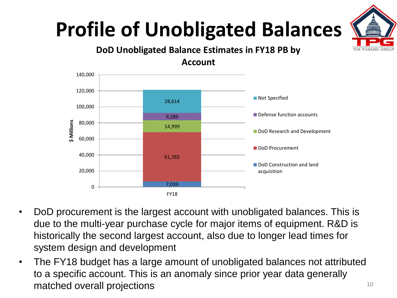# **Profile of Unobligated Balances**







- DoD procurement is the largest account with unobligated balances. This is due to the multi-year purchase cycle for major items of equipment. R&D is historically the second largest account, also due to longer lead times for system design and development
- The FY18 budget has a large amount of unobligated balances not attributed to a specific account. This is an anomaly since prior year data generally matched overall projections and the state of the state overall projections of the state of the state  $10$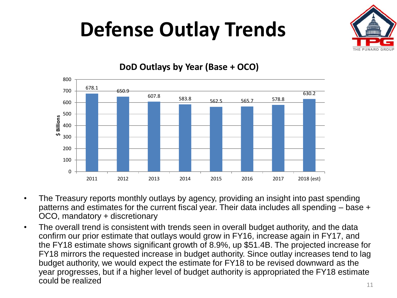## **Defense Outlay Trends**





#### **DoD Outlays by Year (Base + OCO)**

- The Treasury reports monthly outlays by agency, providing an insight into past spending patterns and estimates for the current fiscal year. Their data includes all spending – base + OCO, mandatory + discretionary
- The overall trend is consistent with trends seen in overall budget authority, and the data confirm our prior estimate that outlays would grow in FY16, increase again in FY17, and the FY18 estimate shows significant growth of 8.9%, up \$51.4B. The projected increase for FY18 mirrors the requested increase in budget authority. Since outlay increases tend to lag budget authority, we would expect the estimate for FY18 to be revised downward as the year progresses, but if a higher level of budget authority is appropriated the FY18 estimate could be realized  $11$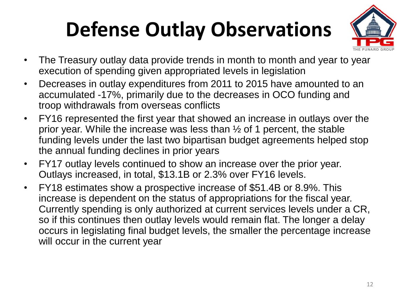# **Defense Outlay Observations**



- The Treasury outlay data provide trends in month to month and year to year execution of spending given appropriated levels in legislation
- Decreases in outlay expenditures from 2011 to 2015 have amounted to an accumulated -17%, primarily due to the decreases in OCO funding and troop withdrawals from overseas conflicts
- FY16 represented the first year that showed an increase in outlays over the prior year. While the increase was less than ½ of 1 percent, the stable funding levels under the last two bipartisan budget agreements helped stop the annual funding declines in prior years
- FY17 outlay levels continued to show an increase over the prior year. Outlays increased, in total, \$13.1B or 2.3% over FY16 levels.
- FY18 estimates show a prospective increase of \$51.4B or 8.9%. This increase is dependent on the status of appropriations for the fiscal year. Currently spending is only authorized at current services levels under a CR, so if this continues then outlay levels would remain flat. The longer a delay occurs in legislating final budget levels, the smaller the percentage increase will occur in the current year